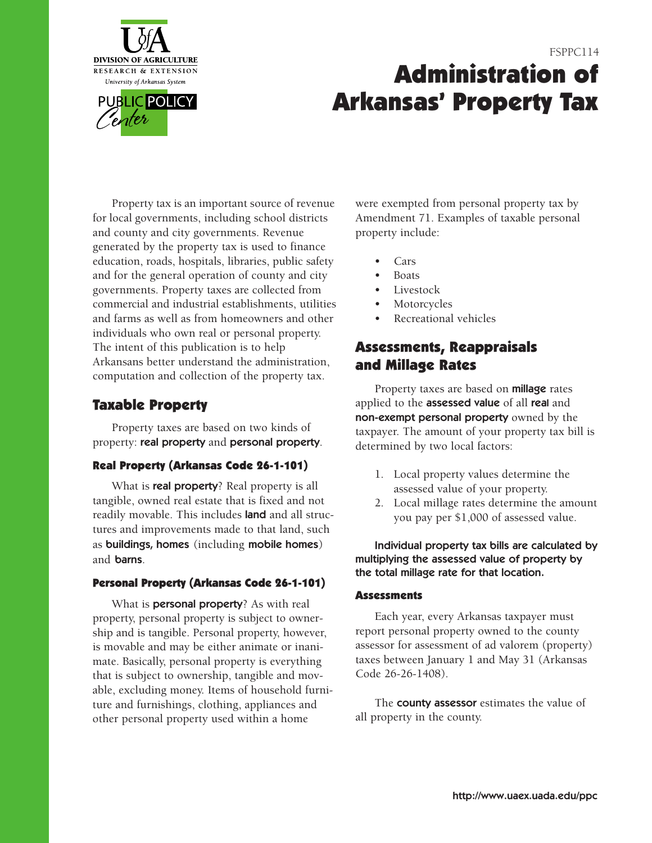

# FSPPC114 **Administration of Arkansas' Property Tax**

 education, roads, hospitals, libraries, public safety governments. Property taxes are collected from commercial and industrial establishments, utilities Property tax is an important source of revenue for local governments, including school districts and county and city governments. Revenue generated by the property tax is used to finance and for the general operation of county and city and farms as well as from homeowners and other individuals who own real or personal property. The intent of this publication is to help Arkansans better understand the administration, computation and collection of the property tax.

### **Taxable Property**

Property taxes are based on two kinds of property: real property and personal property.

### **Real Property (Arkansas Code 26-1-101)**

What is **real property**? Real property is all tangible, owned real estate that is fixed and not readily movable. This includes land and all structures and improvements made to that land, such as buildings, homes (including mobile homes) and **barns**.

### **Personal Property (Arkansas Code 261101)**

 property, personal property is subject to owner- ship and is tangible. Personal property, however, What is **personal property**? As with real is movable and may be either animate or inanimate. Basically, personal property is everything that is subject to ownership, tangible and movable, excluding money. Items of household furniture and furnishings, clothing, appliances and other personal property used within a home

were exempted from personal property tax by Amendment 71. Examples of taxable personal property include:

- Cars
- Boats
- **Livestock**
- **Motorcycles**
- Recreational vehicles

### **Assessments, Reappraisals and Millage Rates**

Property taxes are based on **millage** rates applied to the assessed value of all real and non-exempt personal property owned by the taxpayer. The amount of your property tax bill is determined by two local factors:

- 1. Local property values determine the assessed value of your property.
- 2. Local millage rates determine the amount you pay per \$1,000 of assessed value.

Individual property tax bills are calculated by multiplying the assessed value of property by the total millage rate for that location.

### **Assessments**

Each year, every Arkansas taxpayer must report personal property owned to the county assessor for assessment of ad valorem (property) taxes between January 1 and May 31 (Arkansas Code 26-26-1408).

The **county assessor** estimates the value of all property in the county.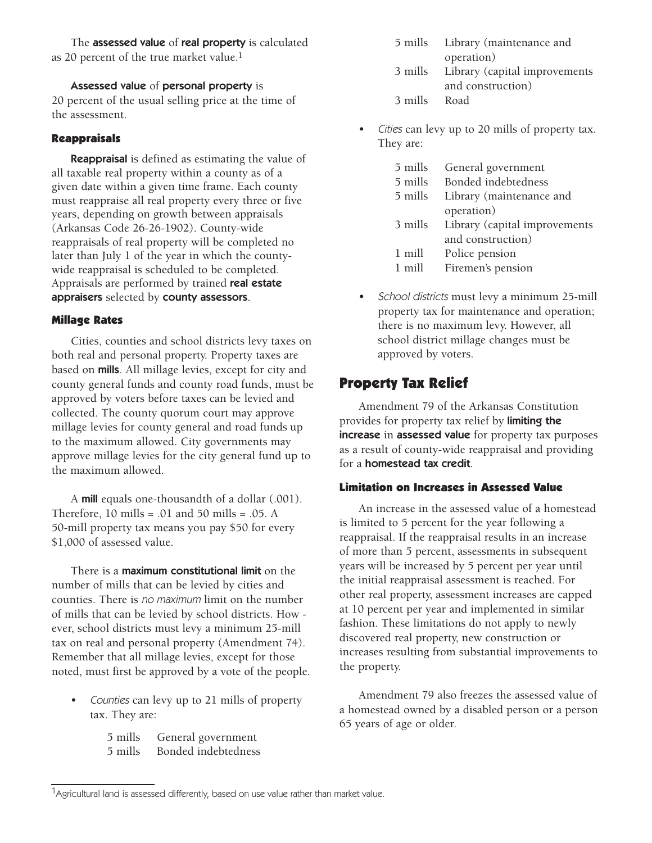The assessed value of real property is calculated as 20 percent of the true market value.<sup>1</sup>

Assessed value of personal property is 20 percent of the usual selling price at the time of the assessment.

### **Reappraisals**

**Reappraisal** is defined as estimating the value of all taxable real property within a county as of a given date within a given time frame. Each county must reappraise all real property every three or five years, depending on growth between appraisals (Arkansas Code 26-26-1902). County-wide reappraisals of real property will be completed no later than July 1 of the year in which the countywide reappraisal is scheduled to be completed. Appraisals are performed by trained real estate appraisers selected by county assessors.

### **Millage Rates**

Cities, counties and school districts levy taxes on both real and personal property. Property taxes are based on mills. All millage levies, except for city and county general funds and county road funds, must be approved by voters before taxes can be levied and collected. The county quorum court may approve millage levies for county general and road funds up to the maximum allowed. City governments may approve millage levies for the city general fund up to the maximum allowed.

A **mill** equals one-thousandth of a dollar (.001). Therefore,  $10$  mills =  $.01$  and  $50$  mills =  $.05$ . A 50-mill property tax means you pay \$50 for every \$1,000 of assessed value.

 noted, must first be approved by a vote of the people. There is a **maximum constitutional limit** on the number of mills that can be levied by cities and counties. There is no maximum limit on the number of mills that can be levied by school districts. How ever, school districts must levy a minimum 25-mill tax on real and personal property (Amendment 74). Remember that all millage levies, except for those

• Counties can levy up to 21 mills of property tax. They are:

> 5 mills General government 5 mills Bonded indebtedness

|         | 5 mills Library (maintenance and      |
|---------|---------------------------------------|
|         | operation)                            |
|         | 3 mills Library (capital improvements |
|         | and construction)                     |
| 3 mills | Road                                  |
|         |                                       |

• Cities can levy up to 20 mills of property tax. They are:

| 5 mills   | General government            |  |  |
|-----------|-------------------------------|--|--|
| $5$ mills | Bonded indebtedness           |  |  |
| $5$ mills | Library (maintenance and      |  |  |
|           | operation)                    |  |  |
| 3 mills   | Library (capital improvements |  |  |
|           | and construction)             |  |  |
| 1 mill    | Police pension                |  |  |
| 1 mill    | Firemen's pension             |  |  |

• School districts must levy a minimum 25-mill property tax for maintenance and operation; there is no maximum levy. However, all school district millage changes must be approved by voters.

### **Property Tax Relief**

Amendment 79 of the Arkansas Constitution provides for property tax relief by limiting the increase in assessed value for property tax purposes as a result of county-wide reappraisal and providing for a homestead tax credit.

### **Limitation on Increases in Assessed Value**

An increase in the assessed value of a homestead is limited to 5 percent for the year following a reappraisal. If the reappraisal results in an increase of more than 5 percent, assessments in subsequent years will be increased by 5 percent per year until the initial reappraisal assessment is reached. For other real property, assessment increases are capped at 10 percent per year and implemented in similar fashion. These limitations do not apply to newly discovered real property, new construction or increases resulting from substantial improvements to the property.

Amendment 79 also freezes the assessed value of a homestead owned by a disabled person or a person 65 years of age or older.

<sup>&</sup>lt;sup>1</sup>Agricultural land is assessed differently, based on use value rather than market value.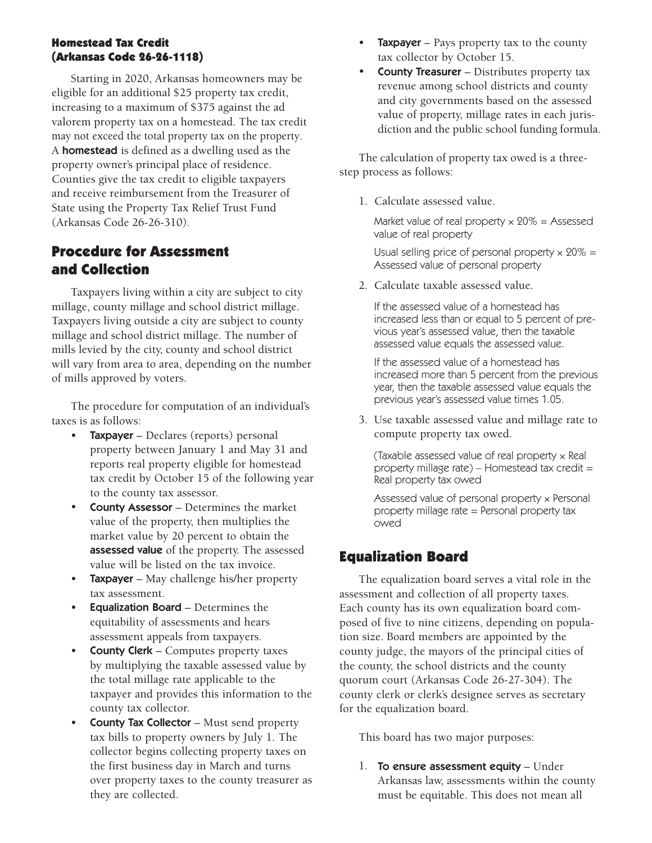### **Homestead Tax Credit (Arkansas Code 26261118)**

Starting in 2020, Arkansas homeowners may be eligible for an additional \$25 property tax credit, increasing to a maximum of \$375 against the ad valorem property tax on a homestead. The tax credit may not exceed the total property tax on the property. A **homestead** is defined as a dwelling used as the property owner's principal place of residence. Counties give the tax credit to eligible taxpayers and receive reimbursement from the Treasurer of State using the Property Tax Relief Trust Fund (Arkansas Code 26-26-310).

## **Procedure for Assessment and Collection**

Taxpayers living within a city are subject to city millage, county millage and school district millage. Taxpayers living outside a city are subject to county millage and school district millage. The number of mills levied by the city, county and school district will vary from area to area, depending on the number of mills approved by voters.

The procedure for computation of an individual's taxes is as follows:

- Taxpayer Declares (reports) personal property between January 1 and May 31 and reports real property eligible for homestead tax credit by October 15 of the following year to the county tax assessor.
- assessed value of the property. The assessed • County Assessor – Determines the market value of the property, then multiplies the market value by 20 percent to obtain the value will be listed on the tax invoice.
- **Taxpayer** May challenge his/her property tax assessment.
- Equalization Board Determines the equitability of assessments and hears assessment appeals from taxpayers.
- **County Clerk Computes property taxes** by multiplying the taxable assessed value by the total millage rate applicable to the taxpayer and provides this information to the county tax collector.
- County Tax Collector Must send property tax bills to property owners by July 1. The collector begins collecting property taxes on the first business day in March and turns over property taxes to the county treasurer as they are collected.
- **Taxpayer** Pays property tax to the county tax collector by October 15.
- County Treasurer Distributes property tax revenue among school districts and county and city governments based on the assessed value of property, millage rates in each jurisdiction and the public school funding formula.

The calculation of property tax owed is a threestep process as follows:

1. Calculate assessed value.

Market value of real property  $\times$  20% = Assessed value of real property

Usual selling price of personal property  $\times$  20% = Assessed value of personal property

2. Calculate taxable assessed value.

If the assessed value of a homestead has increased less than or equal to 5 percent of previous year's assessed value, then the taxable assessed value equals the assessed value.

If the assessed value of a homestead has increased more than 5 percent from the previous year, then the taxable assessed value equals the previous year's assessed value times 1.05.

3. Use taxable assessed value and millage rate to compute property tax owed.

(Taxable assessed value of real property × Real property millage rate) – Homestead tax credit = Real property tax owed

 property millage rate = Personal property tax Assessed value of personal property × Personal owed

### **Equalization Board**

The equalization board serves a vital role in the assessment and collection of all property taxes. Each county has its own equalization board composed of five to nine citizens, depending on population size. Board members are appointed by the county judge, the mayors of the principal cities of the county, the school districts and the county quorum court (Arkansas Code 26-27-304). The county clerk or clerk's designee serves as secretary for the equalization board.

This board has two major purposes:

1. To ensure assessment equity – Under Arkansas law, assessments within the county must be equitable. This does not mean all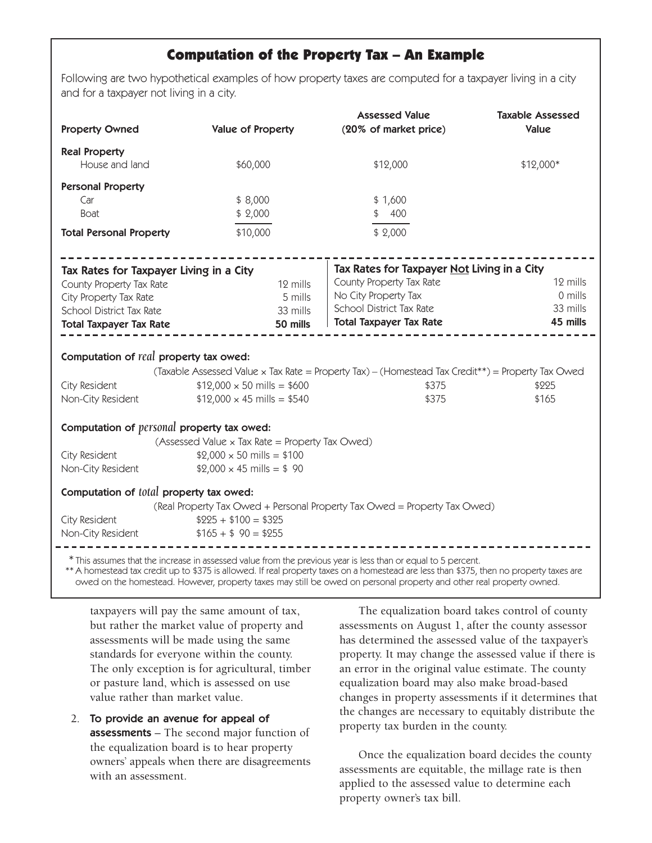### **Computation of the Property Tax – An Example**

Following are two hypothetical examples of how property taxes are computed for a taxpayer living in a city and for a taxpayer not living in a city.

| <b>Property Owned</b>                             | <b>Value of Property</b>                        | <b>Assessed Value</b><br>(20% of market price)                                                                                                                                                                                                           | <b>Taxable Assessed</b><br>Value |
|---------------------------------------------------|-------------------------------------------------|----------------------------------------------------------------------------------------------------------------------------------------------------------------------------------------------------------------------------------------------------------|----------------------------------|
| <b>Real Property</b>                              |                                                 |                                                                                                                                                                                                                                                          |                                  |
| House and land                                    | \$60,000                                        | \$12,000                                                                                                                                                                                                                                                 | \$12,000*                        |
| <b>Personal Property</b>                          |                                                 |                                                                                                                                                                                                                                                          |                                  |
| Car                                               | \$8,000                                         | \$1,600                                                                                                                                                                                                                                                  |                                  |
| <b>Boat</b>                                       | \$2,000                                         | \$ 400                                                                                                                                                                                                                                                   |                                  |
| <b>Total Personal Property</b>                    | \$10,000                                        | \$2,000                                                                                                                                                                                                                                                  |                                  |
| Tax Rates for Taxpayer Living in a City           |                                                 | Tax Rates for Taxpayer Not Living in a City                                                                                                                                                                                                              |                                  |
| County Property Tax Rate                          | 12 mills                                        | County Property Tax Rate                                                                                                                                                                                                                                 | 12 mills                         |
| City Property Tax Rate                            | 5 mills                                         | No City Property Tax                                                                                                                                                                                                                                     | 0 mills                          |
| School District Tax Rate                          | 33 mills                                        | School District Tax Rate                                                                                                                                                                                                                                 | 33 mills<br>45 mills             |
| <b>Total Taxpayer Tax Rate</b>                    | 50 mills                                        | <b>Total Taxpayer Tax Rate</b>                                                                                                                                                                                                                           |                                  |
| Computation of real property tax owed:            |                                                 |                                                                                                                                                                                                                                                          |                                  |
|                                                   |                                                 | (Taxable Assessed Value x Tax Rate = Property Tax) - (Homestead Tax Credit**) = Property Tax Owed                                                                                                                                                        |                                  |
| City Resident                                     | $$12,000 \times 50 \text{ miles} = $600$        | \$375                                                                                                                                                                                                                                                    | \$225                            |
| Non-City Resident                                 | $$12,000 \times 45 \text{ miles} = $540$        | \$375                                                                                                                                                                                                                                                    | \$165                            |
| Computation of <i>personal</i> property tax owed: |                                                 |                                                                                                                                                                                                                                                          |                                  |
|                                                   | (Assessed Value x Tax Rate = Property Tax Owed) |                                                                                                                                                                                                                                                          |                                  |
| City Resident                                     | $$2,000 \times 50$ mills = \$100                |                                                                                                                                                                                                                                                          |                                  |
| Non-City Resident                                 | $$2,000 \times 45 \text{ miles} = $90$          |                                                                                                                                                                                                                                                          |                                  |
| Computation of total property tax owed:           |                                                 |                                                                                                                                                                                                                                                          |                                  |
|                                                   |                                                 | (Real Property Tax Owed + Personal Property Tax Owed = Property Tax Owed)                                                                                                                                                                                |                                  |
| City Resident                                     | $$225 + $100 = $325$                            |                                                                                                                                                                                                                                                          |                                  |
| Non-City Resident                                 | $$165 + $90 = $255$                             |                                                                                                                                                                                                                                                          |                                  |
|                                                   |                                                 | * This assumes that the increase in assessed value from the previous year is less than or equal to 5 percent.<br>** A homestead tax credit up to \$375 is allowed. If real property taxes on a homestead are less than \$375, then no property taxes are |                                  |

owed on the homestead. However, property taxes may still be owed on personal property and other real property owned.

taxpayers will pay the same amount of tax, but rather the market value of property and assessments will be made using the same standards for everyone within the county. The only exception is for agricultural, timber or pasture land, which is assessed on use value rather than market value.

 owners' appeals when there are disagreements 2. To provide an avenue for appeal of assessments – The second major function of the equalization board is to hear property with an assessment.

The equalization board takes control of county assessments on August 1, after the county assessor has determined the assessed value of the taxpayer's property. It may change the assessed value if there is an error in the original value estimate. The county equalization board may also make broad-based changes in property assessments if it determines that the changes are necessary to equitably distribute the property tax burden in the county.

Once the equalization board decides the county assessments are equitable, the millage rate is then applied to the assessed value to determine each property owner's tax bill.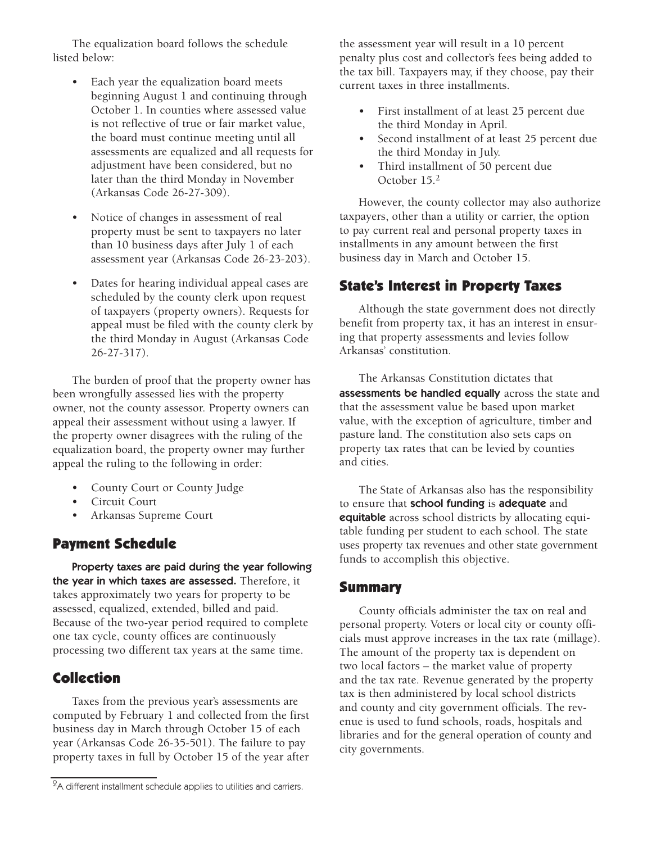The equalization board follows the schedule listed below:

- Each year the equalization board meets beginning August 1 and continuing through October 1. In counties where assessed value is not reflective of true or fair market value, the board must continue meeting until all assessments are equalized and all requests for adjustment have been considered, but no later than the third Monday in November (Arkansas Code 26-27-309).
- Notice of changes in assessment of real property must be sent to taxpayers no later than 10 business days after July 1 of each assessment year (Arkansas Code 26-23-203).
- Dates for hearing individual appeal cases are scheduled by the county clerk upon request of taxpayers (property owners). Requests for appeal must be filed with the county clerk by the third Monday in August (Arkansas Code 2627317).

The burden of proof that the property owner has been wrongfully assessed lies with the property owner, not the county assessor. Property owners can appeal their assessment without using a lawyer. If the property owner disagrees with the ruling of the equalization board, the property owner may further appeal the ruling to the following in order:

- County Court or County Judge
- Circuit Court
- Arkansas Supreme Court

### **Payment Schedule**

 Property taxes are paid during the year following the year in which taxes are assessed. Therefore, it takes approximately two years for property to be assessed, equalized, extended, billed and paid. Because of the two-year period required to complete one tax cycle, county offices are continuously processing two different tax years at the same time.

### **Collection**

Taxes from the previous year's assessments are computed by February 1 and collected from the first business day in March through October 15 of each year (Arkansas Code 26-35-501). The failure to pay property taxes in full by October 15 of the year after

the assessment year will result in a 10 percent penalty plus cost and collector's fees being added to the tax bill. Taxpayers may, if they choose, pay their current taxes in three installments.

- First installment of at least 25 percent due the third Monday in April.
- Second installment of at least 25 percent due the third Monday in July.
- Third installment of 50 percent due October 15.2

However, the county collector may also authorize taxpayers, other than a utility or carrier, the option to pay current real and personal property taxes in installments in any amount between the first business day in March and October 15.

### **State's Interest in Property Taxes**

Although the state government does not directly benefit from property tax, it has an interest in ensuring that property assessments and levies follow Arkansas' constitution.

The Arkansas Constitution dictates that assessments be handled equally across the state and that the assessment value be based upon market value, with the exception of agriculture, timber and pasture land. The constitution also sets caps on property tax rates that can be levied by counties and cities.

 uses property tax revenues and other state government The State of Arkansas also has the responsibility to ensure that school funding is adequate and equitable across school districts by allocating equitable funding per student to each school. The state funds to accomplish this objective.

### **Summary**

 libraries and for the general operation of county and County officials administer the tax on real and personal property. Voters or local city or county officials must approve increases in the tax rate (millage). The amount of the property tax is dependent on two local factors – the market value of property and the tax rate. Revenue generated by the property tax is then administered by local school districts and county and city government officials. The revenue is used to fund schools, roads, hospitals and city governments.

 $2A$  different installment schedule applies to utilities and carriers.